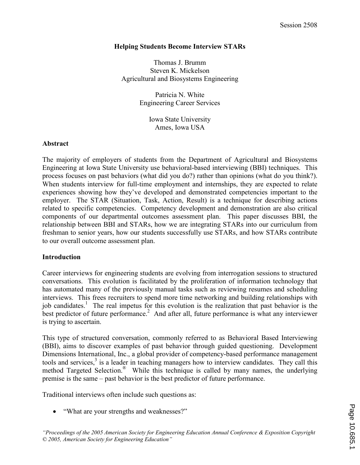## Helping Students Become Interview STARs

Thomas J. Brumm Steven K. Mickelson Agricultural and Biosystems Engineering

> Patricia N. White Engineering Career Services

> > Iowa State University Ames, Iowa USA

#### Abstract

The majority of employers of students from the Department of Agricultural and Biosystems Engineering at Iowa State University use behavioral-based interviewing (BBI) techniques. This process focuses on past behaviors (what did you do?) rather than opinions (what do you think?). When students interview for full-time employment and internships, they are expected to relate experiences showing how they've developed and demonstrated competencies important to the employer. The STAR (Situation, Task, Action, Result) is a technique for describing actions related to specific competencies. Competency development and demonstration are also critical components of our departmental outcomes assessment plan. This paper discusses BBI, the relationship between BBI and STARs, how we are integrating STARs into our curriculum from freshman to senior years, how our students successfully use STARs, and how STARs contribute to our overall outcome assessment plan.

#### Introduction

Career interviews for engineering students are evolving from interrogation sessions to structured conversations. This evolution is facilitated by the proliferation of information technology that has automated many of the previously manual tasks such as reviewing resumes and scheduling interviews. This frees recruiters to spend more time networking and building relationships with job candidates.<sup>1</sup> The real impetus for this evolution is the realization that past behavior is the best predictor of future performance.<sup>2</sup> And after all, future performance is what any interviewer is trying to ascertain.

This type of structured conversation, commonly referred to as Behavioral Based Interviewing (BBI), aims to discover examples of past behavior through guided questioning. Development Dimensions International, Inc., a global provider of competency-based performance management tools and services, $3$  is a leader in teaching managers how to interview candidates. They call this method Targeted Selection.<sup>®</sup> While this technique is called by many names, the underlying premise is the same – past behavior is the best predictor of future performance.

Traditional interviews often include such questions as:

• "What are your strengths and weaknesses?"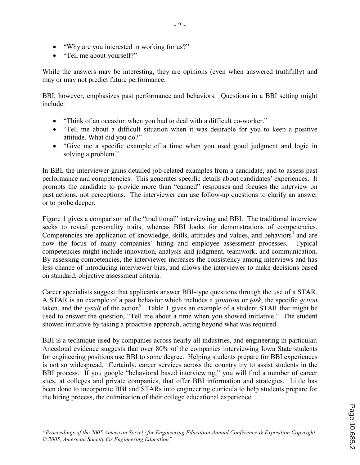- "Why are you interested in working for us?"
- "Tell me about yourself?"

While the answers may be interesting, they are opinions (even when answered truthfully) and may or may not predict future performance.

BBI, however, emphasizes past performance and behaviors. Questions in a BBI setting might include:

- "Think of an occasion when you had to deal with a difficult co-worker."
- "Tell me about a difficult situation when it was desirable for you to keep a positive attitude. What did you do?"
- "Give me a specific example of a time when you used good judgment and logic in solving a problem."

In BBI, the interviewer gains detailed job-related examples from a candidate, and to assess past performance and competencies. This generates specific details about candidates' experiences. It prompts the candidate to provide more than "canned" responses and focuses the interview on past actions, not perceptions. The interviewer can use follow-up questions to clarify an answer or to probe deeper.

Figure 1 gives a comparison of the "traditional" interviewing and BBI. The traditional interview seeks to reveal personality traits, whereas BBI looks for demonstrations of competencies. Competencies are application of knowledge, skills, attitudes and values, and behaviors<sup>4</sup> and are now the focus of many companies' hiring and employee assessment processes. Typical competencies might include innovation, analysis and judgment, teamwork, and communication. By assessing competencies, the interviewer increases the consistency among interviews and has less chance of introducing interviewer bias, and allows the interviewer to make decisions based on standard, objective assessment criteria.

Career specialists suggest that applicants answer BBI-type questions through the use of a STAR. A STAR is an example of a past behavior which includes a situation or task, the specific action taken, and the result of the action<sup>5</sup>. Table 1 gives an example of a student STAR that might be used to answer the question, "Tell me about a time when you showed initiative." The student showed initiative by taking a proactive approach, acting beyond what was required.

BBI is a technique used by companies across nearly all industries, and engineering in particular. Anecdotal evidence suggests that over 80% of the companies interviewing Iowa State students for engineering positions use BBI to some degree. Helping students prepare for BBI experiences is not so widespread. Certainly, career services across the country try to assist students in the BBI process. If you google "behavioral based interviewing," you will find a number of career sites, at colleges and private companies, that offer BBI information and strategies. Little has been done to incorporate BBI and STARs into engineering curricula to help students prepare for the hiring process, the culmination of their college educational experience.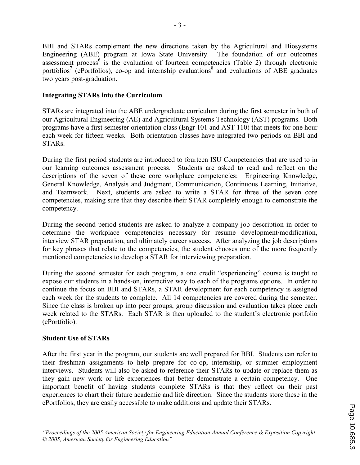BBI and STARs complement the new directions taken by the Agricultural and Biosystems Engineering (ABE) program at Iowa State University. The foundation of our outcomes assessment process<sup> $6$ </sup> is the evaluation of fourteen competencies (Table 2) through electronic portfolios<sup>7</sup> (ePortfolios), co-op and internship evaluations<sup>8</sup> and evaluations of ABE graduates two years post-graduation.

## Integrating STARs into the Curriculum

STARs are integrated into the ABE undergraduate curriculum during the first semester in both of our Agricultural Engineering (AE) and Agricultural Systems Technology (AST) programs. Both programs have a first semester orientation class (Engr 101 and AST 110) that meets for one hour each week for fifteen weeks. Both orientation classes have integrated two periods on BBI and **STARs**.

During the first period students are introduced to fourteen ISU Competencies that are used to in our learning outcomes assessment process. Students are asked to read and reflect on the descriptions of the seven of these core workplace competencies: Engineering Knowledge, General Knowledge, Analysis and Judgment, Communication, Continuous Learning, Initiative, and Teamwork. Next, students are asked to write a STAR for three of the seven core competencies, making sure that they describe their STAR completely enough to demonstrate the competency.

During the second period students are asked to analyze a company job description in order to determine the workplace competencies necessary for resume development/modification, interview STAR preparation, and ultimately career success. After analyzing the job descriptions for key phrases that relate to the competencies, the student chooses one of the more frequently mentioned competencies to develop a STAR for interviewing preparation.

During the second semester for each program, a one credit "experiencing" course is taught to expose our students in a hands-on, interactive way to each of the programs options. In order to continue the focus on BBI and STARs, a STAR development for each competency is assigned each week for the students to complete. All 14 competencies are covered during the semester. Since the class is broken up into peer groups, group discussion and evaluation takes place each week related to the STARs. Each STAR is then uploaded to the student's electronic portfolio (ePortfolio).

## Student Use of STARs

After the first year in the program, our students are well prepared for BBI. Students can refer to their freshman assignments to help prepare for co-op, internship, or summer employment interviews. Students will also be asked to reference their STARs to update or replace them as they gain new work or life experiences that better demonstrate a certain competency. One important benefit of having students complete STARs is that they reflect on their past experiences to chart their future academic and life direction. Since the students store these in the ePortfolios, they are easily accessible to make additions and update their STARs.

Page 10.685.3 Page 10.685.3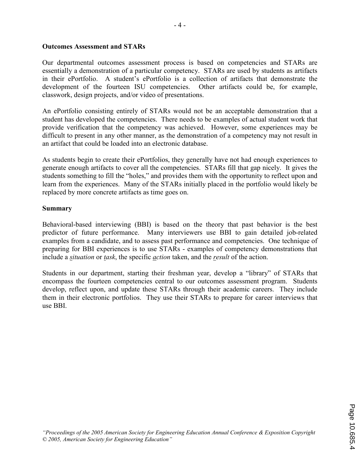#### Outcomes Assessment and STARs

Our departmental outcomes assessment process is based on competencies and STARs are essentially a demonstration of a particular competency. STARs are used by students as artifacts in their ePortfolio. A student's ePortfolio is a collection of artifacts that demonstrate the development of the fourteen ISU competencies. Other artifacts could be, for example, classwork, design projects, and/or video of presentations.

An ePortfolio consisting entirely of STARs would not be an acceptable demonstration that a student has developed the competencies. There needs to be examples of actual student work that provide verification that the competency was achieved. However, some experiences may be difficult to present in any other manner, as the demonstration of a competency may not result in an artifact that could be loaded into an electronic database.

As students begin to create their ePortfolios, they generally have not had enough experiences to generate enough artifacts to cover all the competencies. STARs fill that gap nicely. It gives the students something to fill the "holes," and provides them with the opportunity to reflect upon and learn from the experiences. Many of the STARs initially placed in the portfolio would likely be replaced by more concrete artifacts as time goes on.

#### Summary

Behavioral-based interviewing (BBI) is based on the theory that past behavior is the best predictor of future performance. Many interviewers use BBI to gain detailed job-related examples from a candidate, and to assess past performance and competencies. One technique of preparing for BBI experiences is to use STARs - examples of competency demonstrations that include a situation or task, the specific action taken, and the result of the action.

Students in our department, starting their freshman year, develop a "library" of STARs that encompass the fourteen competencies central to our outcomes assessment program. Students develop, reflect upon, and update these STARs through their academic careers. They include them in their electronic portfolios. They use their STARs to prepare for career interviews that use BBI.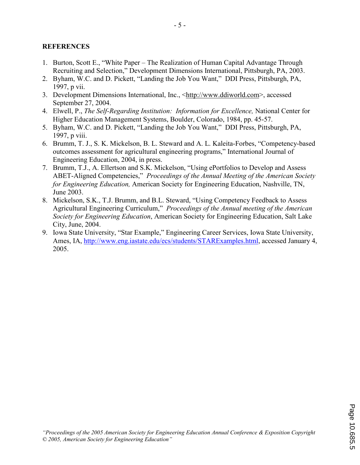### **REFERENCES**

- 1. Burton, Scott E., "White Paper The Realization of Human Capital Advantage Through Recruiting and Selection," Development Dimensions International, Pittsburgh, PA, 2003.
- 2. Byham, W.C. and D. Pickett, "Landing the Job You Want," DDI Press, Pittsburgh, PA, 1997, p vii.
- 3. Development Dimensions International, Inc., <http://www.ddiworld.com>, accessed September 27, 2004.
- 4. Elwell, P., The Self-Regarding Institution: Information for Excellence, National Center for Higher Education Management Systems, Boulder, Colorado, 1984, pp. 45-57.
- 5. Byham, W.C. and D. Pickett, "Landing the Job You Want," DDI Press, Pittsburgh, PA, 1997, p viii.
- 6. Brumm, T. J., S. K. Mickelson, B. L. Steward and A. L. Kaleita-Forbes, "Competency-based outcomes assessment for agricultural engineering programs," International Journal of Engineering Education, 2004, in press.
- 7. Brumm, T.J., A. Ellertson and S.K. Mickelson, "Using ePortfolios to Develop and Assess ABET-Aligned Competencies," Proceedings of the Annual Meeting of the American Society for Engineering Education, American Society for Engineering Education, Nashville, TN, June 2003.
- 8. Mickelson, S.K., T.J. Brumm, and B.L. Steward, "Using Competency Feedback to Assess Agricultural Engineering Curriculum," Proceedings of the Annual meeting of the American Society for Engineering Education, American Society for Engineering Education, Salt Lake City, June, 2004.
- 9. Iowa State University, "Star Example," Engineering Career Services, Iowa State University, Ames, IA, http://www.eng.iastate.edu/ecs/students/STARExamples.html, accessed January 4, 2005.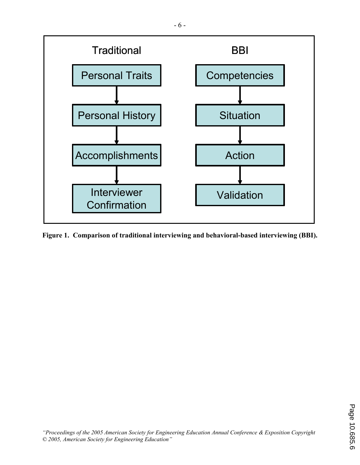

Figure 1. Comparison of traditional interviewing and behavioral-based interviewing (BBI).